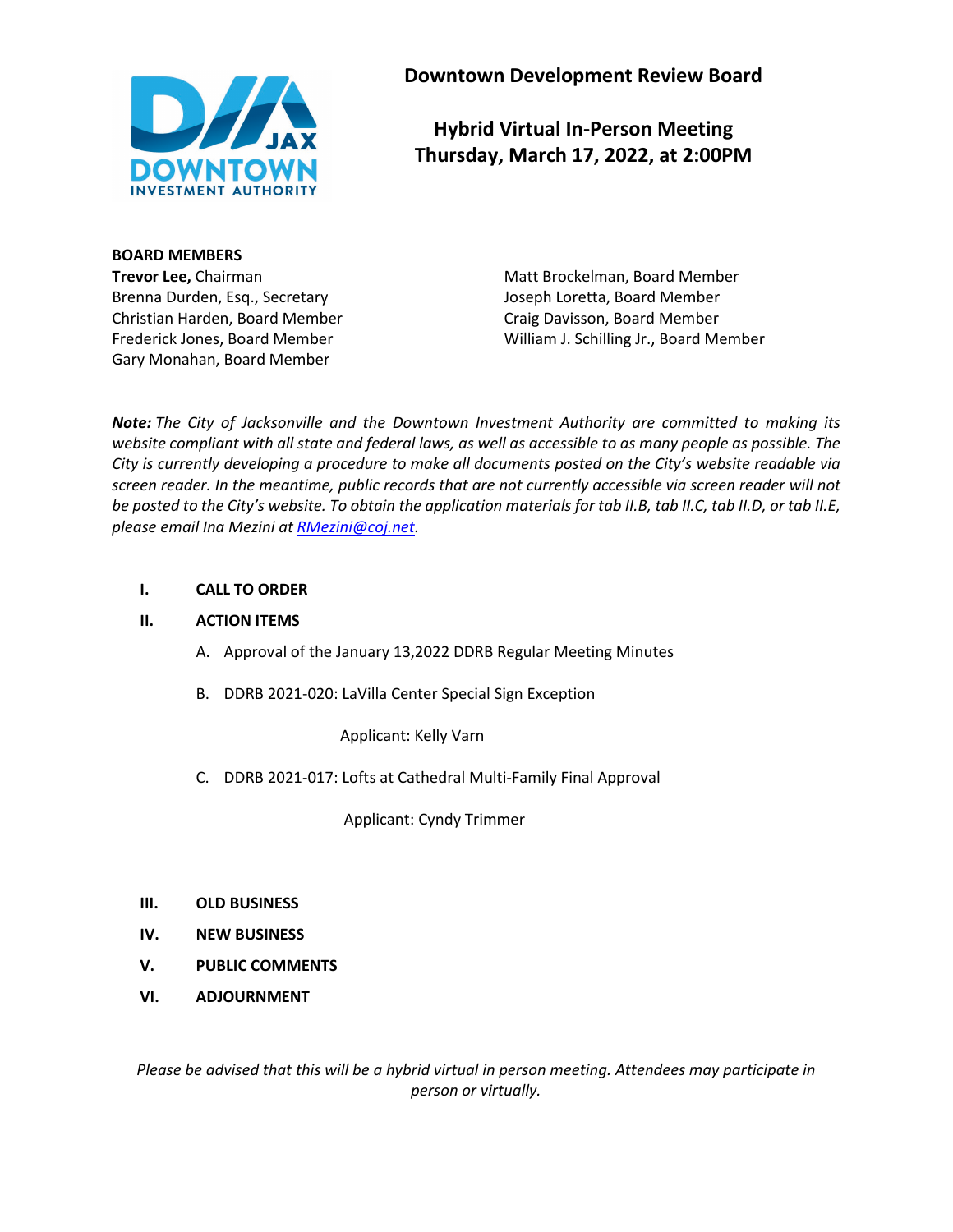

**Downtown Development Review Board**

**Hybrid Virtual In-Person Meeting Thursday, March 17, 2022, at 2:00PM**

**BOARD MEMBERS**

Brenna Durden, Esq., Secretary Joseph Loretta, Board Member Christian Harden, Board Member Craig Davisson, Board Member Gary Monahan, Board Member

**Trevor Lee,** Chairman Matt Brockelman, Board Member Frederick Jones, Board Member William J. Schilling Jr., Board Member

*Note: The City of Jacksonville and the Downtown Investment Authority are committed to making its website compliant with all state and federal laws, as well as accessible to as many people as possible. The City is currently developing a procedure to make all documents posted on the City's website readable via screen reader. In the meantime, public records that are not currently accessible via screen reader will not be posted to the City's website. To obtain the application materials for tab II.B, tab II.C, tab II.D, or tab II.E, please email Ina Mezini at [RMezini@coj.net.](mailto:RMezini@coj.net)*

# **I. CALL TO ORDER**

## **II. ACTION ITEMS**

- A. Approval of the January 13,2022 DDRB Regular Meeting Minutes
- B. DDRB 2021-020: LaVilla Center Special Sign Exception

Applicant: Kelly Varn

C. DDRB 2021-017: Lofts at Cathedral Multi-Family Final Approval

Applicant: Cyndy Trimmer

- **III. OLD BUSINESS**
- **IV. NEW BUSINESS**
- **V. PUBLIC COMMENTS**
- **VI. ADJOURNMENT**

*Please be advised that this will be a hybrid virtual in person meeting. Attendees may participate in person or virtually.*